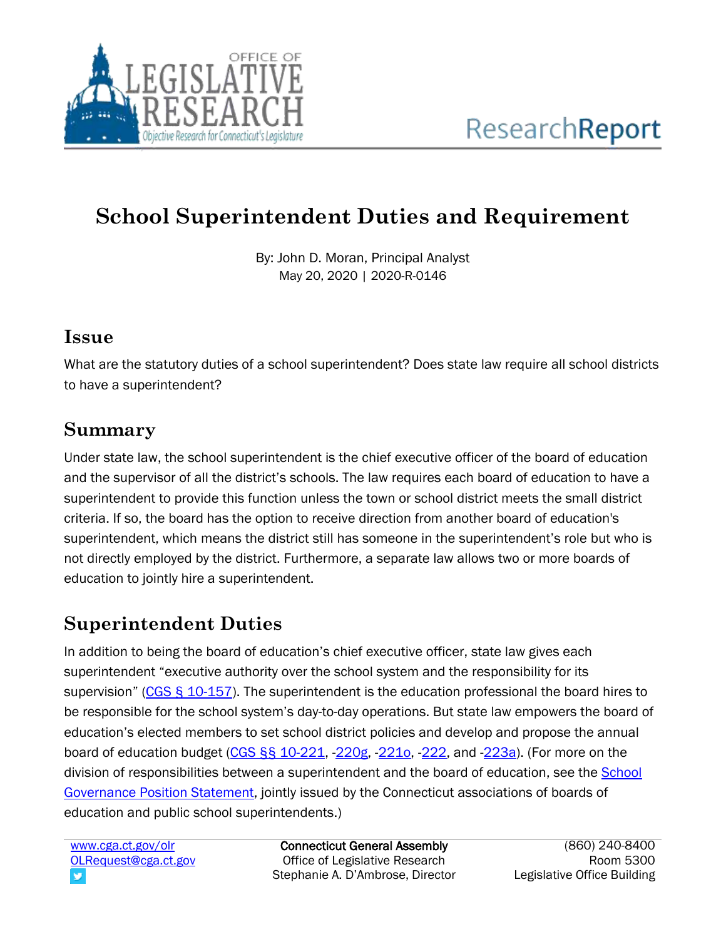

# **School Superintendent Duties and Requirement**

By: John D. Moran, Principal Analyst May 20, 2020 | 2020-R-0146

#### **Issue**

What are the statutory duties of a school superintendent? Does state law require all school districts to have a superintendent?

## **Summary**

Under state law, the school superintendent is the chief executive officer of the board of education and the supervisor of all the district's schools. The law requires each board of education to have a superintendent to provide this function unless the town or school district meets the small district criteria. If so, the board has the option to receive direction from another board of education's superintendent, which means the district still has someone in the superintendent's role but who is not directly employed by the district. Furthermore, a separate law allows two or more boards of education to jointly hire a superintendent.

## **Superintendent Duties**

In addition to being the board of education's chief executive officer, state law gives each superintendent "executive authority over the school system and the responsibility for its supervision" ([CGS § 10-157\)](https://www.cga.ct.gov/current/pub/chap_166.htm#sec_10-157). The superintendent is the education professional the board hires to be responsible for the school system's day-to-day operations. But state law empowers the board of education's elected members to set school district policies and develop and propose the annual board of education budget  $(CGS S<sub>S</sub> 10-221, 220g, 221o, 222,$  and  $-223a$ ). (For more on the division of responsibilities between a superintendent and the board of education, see the [School](https://www.cabe.org/uploaded/School_Board_Service/Final_Copy_2016_of_Governance_Statement_.pdf)  [Governance Position Statement,](https://www.cabe.org/uploaded/School_Board_Service/Final_Copy_2016_of_Governance_Statement_.pdf) jointly issued by the Connecticut associations of boards of education and public school superintendents.)

[www.cga.ct.gov/olr](http://www.cga.ct.gov/olr) [OLRequest@cga.ct.gov](mailto:OLRequest@cga.ct.gov) v

Connecticut General Assembly Office of Legislative Research Stephanie A. D'Ambrose, Director

(860) 240-8400 Room 5300 Legislative Office Building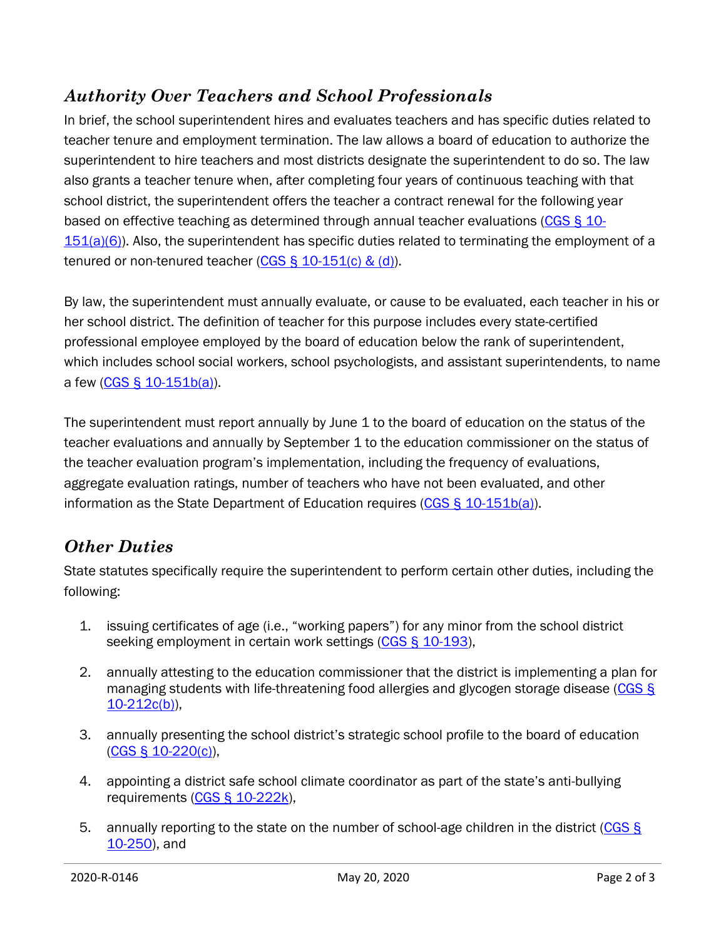### *Authority Over Teachers and School Professionals*

In brief, the school superintendent hires and evaluates teachers and has specific duties related to teacher tenure and employment termination. The law allows a board of education to authorize the superintendent to hire teachers and most districts designate the superintendent to do so. The law also grants a teacher tenure when, after completing four years of continuous teaching with that school district, the superintendent offers the teacher a contract renewal for the following year based on effective teaching as determined through annual teacher evaluations [\(CGS § 10-](https://www.cga.ct.gov/current/pub/chap_166.htm#sec_10-151)  $151(a)(6)$ ). Also, the superintendent has specific duties related to terminating the employment of a tenured or non-tenured teacher (CGS  $\S$  10-151(c) & (d)).

By law, the superintendent must annually evaluate, or cause to be evaluated, each teacher in his or her school district. The definition of teacher for this purpose includes every state-certified professional employee employed by the board of education below the rank of superintendent, which includes school social workers, school psychologists, and assistant superintendents, to name a few [\(CGS § 10-151b\(a\)\)](https://www.cga.ct.gov/current/pub/chap_166.htm#sec_10-151b).

The superintendent must report annually by June 1 to the board of education on the status of the teacher evaluations and annually by September 1 to the education commissioner on the status of the teacher evaluation program's implementation, including the frequency of evaluations, aggregate evaluation ratings, number of teachers who have not been evaluated, and other information as the State Department of Education requires [\(CGS § 10-151b\(a\)\)](https://www.cga.ct.gov/current/pub/chap_166.htm#sec_10-151b).

#### *Other Duties*

State statutes specifically require the superintendent to perform certain other duties, including the following:

- 1. issuing certificates of age (i.e., "working papers") for any minor from the school district seeking employment in certain work settings [\(CGS § 10-193\)](https://www.cga.ct.gov/current/pub/chap_168.htm#sec_10-193),
- 2. annually attesting to the education commissioner that the district is implementing a plan for managing students with life-threatening food allergies and glycogen storage disease [\(CGS §](https://www.cga.ct.gov/current/pub/chap_169.htm#sec_10-212c)   $10-212c(b)$ ),
- 3. annually presenting the school district's strategic school profile to the board of education [\(CGS § 10-220\(c\)\)](https://www.cga.ct.gov/current/pub/chap_170.htm#sec_10-220),
- 4. appointing a district safe school climate coordinator as part of the state's anti-bullying requirements [\(CGS § 10-222k\)](https://www.cga.ct.gov/current/pub/chap_170.htm#sec_10-222k),
- 5. annually reporting to the state on the number of school-age children in the district (CGS § [10-250\)](https://www.cga.ct.gov/current/pub/chap_172.htm#sec_10-250), and